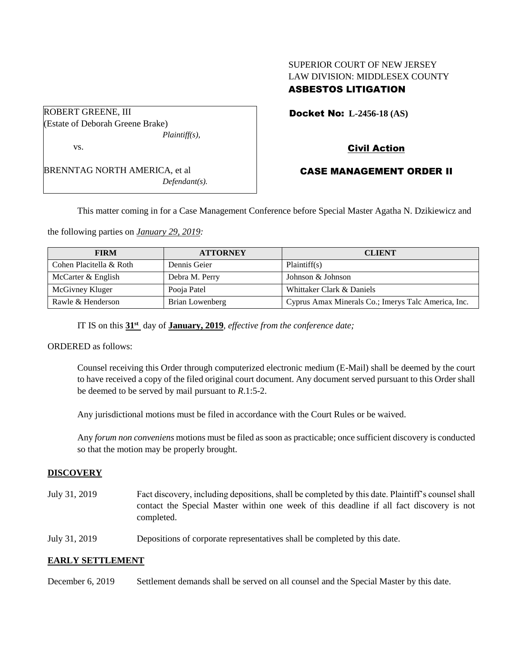## SUPERIOR COURT OF NEW JERSEY LAW DIVISION: MIDDLESEX COUNTY ASBESTOS LITIGATION

| ROBERT GREENE, III                   |
|--------------------------------------|
| (Estate of Deborah Greene Brake)     |
| $Plaintiff(s)$ ,                     |
| VS.                                  |
| <b>BRENNTAG NORTH AMERICA, et al</b> |
| $Defendant(s)$ .                     |
|                                      |

Docket No: **L-2456-18 (AS)** 

# Civil Action

## CASE MANAGEMENT ORDER II

This matter coming in for a Case Management Conference before Special Master Agatha N. Dzikiewicz and

the following parties on *January 29, 2019:*

| <b>FIRM</b>             | <b>ATTORNEY</b> | <b>CLIENT</b>                                       |
|-------------------------|-----------------|-----------------------------------------------------|
| Cohen Placitella & Roth | Dennis Geier    | Plaintiff(s)                                        |
| McCarter & English      | Debra M. Perry  | Johnson & Johnson                                   |
| McGivney Kluger         | Pooja Patel     | Whittaker Clark & Daniels                           |
| Rawle & Henderson       | Brian Lowenberg | Cyprus Amax Minerals Co.; Imerys Talc America, Inc. |

IT IS on this **31st** day of **January, 2019**, *effective from the conference date;*

ORDERED as follows:

Counsel receiving this Order through computerized electronic medium (E-Mail) shall be deemed by the court to have received a copy of the filed original court document. Any document served pursuant to this Order shall be deemed to be served by mail pursuant to *R*.1:5-2.

Any jurisdictional motions must be filed in accordance with the Court Rules or be waived.

Any *forum non conveniens* motions must be filed as soon as practicable; once sufficient discovery is conducted so that the motion may be properly brought.

### **DISCOVERY**

July 31, 2019 Fact discovery, including depositions, shall be completed by this date. Plaintiff's counsel shall contact the Special Master within one week of this deadline if all fact discovery is not completed.

July 31, 2019 Depositions of corporate representatives shall be completed by this date.

### **EARLY SETTLEMENT**

December 6, 2019 Settlement demands shall be served on all counsel and the Special Master by this date.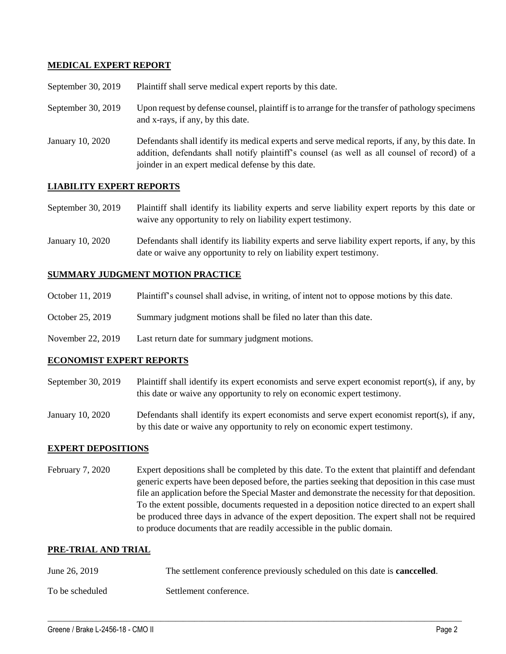### **MEDICAL EXPERT REPORT**

| September 30, 2019 |  | Plaintiff shall serve medical expert reports by this date. |
|--------------------|--|------------------------------------------------------------|
|--------------------|--|------------------------------------------------------------|

- September 30, 2019 Upon request by defense counsel, plaintiff is to arrange for the transfer of pathology specimens and x-rays, if any, by this date.
- January 10, 2020 Defendants shall identify its medical experts and serve medical reports, if any, by this date. In addition, defendants shall notify plaintiff's counsel (as well as all counsel of record) of a joinder in an expert medical defense by this date.

### **LIABILITY EXPERT REPORTS**

September 30, 2019 Plaintiff shall identify its liability experts and serve liability expert reports by this date or waive any opportunity to rely on liability expert testimony.

January 10, 2020 Defendants shall identify its liability experts and serve liability expert reports, if any, by this date or waive any opportunity to rely on liability expert testimony.

### **SUMMARY JUDGMENT MOTION PRACTICE**

- October 11, 2019 Plaintiff's counsel shall advise, in writing, of intent not to oppose motions by this date.
- October 25, 2019 Summary judgment motions shall be filed no later than this date.
- November 22, 2019 Last return date for summary judgment motions.

### **ECONOMIST EXPERT REPORTS**

- September 30, 2019 Plaintiff shall identify its expert economists and serve expert economist report(s), if any, by this date or waive any opportunity to rely on economic expert testimony.
- January 10, 2020 Defendants shall identify its expert economists and serve expert economist report(s), if any, by this date or waive any opportunity to rely on economic expert testimony.

### **EXPERT DEPOSITIONS**

February 7, 2020 Expert depositions shall be completed by this date. To the extent that plaintiff and defendant generic experts have been deposed before, the parties seeking that deposition in this case must file an application before the Special Master and demonstrate the necessity for that deposition. To the extent possible, documents requested in a deposition notice directed to an expert shall be produced three days in advance of the expert deposition. The expert shall not be required to produce documents that are readily accessible in the public domain.

### **PRE-TRIAL AND TRIAL**

| June 26, 2019   | The settlement conference previously scheduled on this date is <b>cancelled</b> . |
|-----------------|-----------------------------------------------------------------------------------|
| To be scheduled | Settlement conference.                                                            |

 $\_$  ,  $\_$  ,  $\_$  ,  $\_$  ,  $\_$  ,  $\_$  ,  $\_$  ,  $\_$  ,  $\_$  ,  $\_$  ,  $\_$  ,  $\_$  ,  $\_$  ,  $\_$  ,  $\_$  ,  $\_$  ,  $\_$  ,  $\_$  ,  $\_$  ,  $\_$  ,  $\_$  ,  $\_$  ,  $\_$  ,  $\_$  ,  $\_$  ,  $\_$  ,  $\_$  ,  $\_$  ,  $\_$  ,  $\_$  ,  $\_$  ,  $\_$  ,  $\_$  ,  $\_$  ,  $\_$  ,  $\_$  ,  $\_$  ,